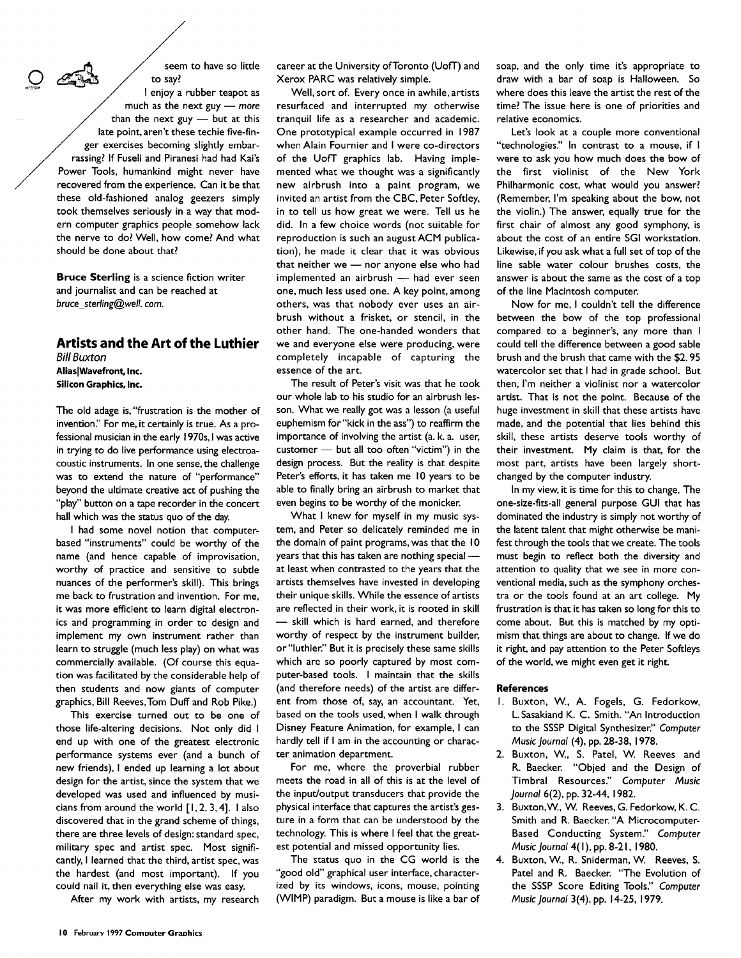$\sum_{\text{to say}}$  seem to have so little to say?

I enjoy a rubber teapot as much as the next guy - *more* than the next  $g_{uy}$  -- but at this late point, aren't these techie five-finger exercises becoming slightly embarrassing? If Fuseli and Piranesi had had Kai's Power Tools, humankind might never have recovered from the experience. Can it be that these old-fashioned analog geezers simply took themselves seriously in a way that modern computer graphics people somehow lack the nerve to do? Well, how come? And what should be done about that?

**Bruce** Sterling is a science fiction writer and journalist and can be reached at *bruce\_sterling@well, com.* 

## **Artists and the Art of the Luthier**  *Bill guxton*  **AliaslWavefront, Inc. Silicon Graphics, Inc.**

The old adage is, "frustration is the mother of invention" For me, it certainly is true. As a professional musician in the early 1970s, I was active in trying to do live performance using electroacoustic instruments. In one sense, the challenge was to extend the nature of "performance" beyond the ultimate creative act of pushing the "play" button on a tape recorder in the concert hall which was the status quo of the day.

I had some novel notion that computerbased "instruments" could be worthy of the name (and hence capable of improvisation, worthy of practice and sensitive to subtle nuances of the performer's skill). This brings me back to frustration and invention. For me, it was more efficient to learn digital electronics and programming in order to design and implement my own instrument rather than learn to struggle (much less play) on what was commercially available. (Of course this equation was facilitated by the considerable help of then students and now giants of computer graphics, Bill Reeves,Tom Duff and Rob Pike.)

This exercise turned out to be one of those life-altering decisions. Not only did I end up with one of the greatest electronic performance systems ever (and a bunch of new friends), I ended up learning a lot about design for the artist, since the system that we developed was used and influenced by musicians from around the world  $[1, 2, 3, 4]$ . I also discovered that in the grand scheme of things, there are three levels of design: standard spec, military spec and artist spec. Most significantly, I learned that the third, artist spec, was the hardest (and most important). If you could nail it, then everything else was easy.

After my work with artists, my research

career at the University ofToronto (UofT) and Xerox PARC was relatively simple.

Well, sort of. Every once in awhile, artists resurfaced and interrupted my otherwise tranquil life as a researcher and academic. One prototypical example occurred in 1987 when Alain Fournier and I were co-directors of the UofT graphics lab. Having implemented what we thought was a significantly new airbrush into a paint program, we invited an artist from the CBC, Peter Softley, in to tell us how great we were. Tell us he did. In a few choice words (not suitable for reproduction is such an august ACM publication), he made it clear that it was obvious that neither we  $-$  nor anyone else who had implemented an airbrush - had ever seen one, much less used one. A key point, among others, was that nobody ever uses an airbrush without a frisket, or stencil, in the other hand. The one-handed wonders that we and everyone else were producing, were completely incapable of capturing the essence of the art.

The result of Peter's visit was that he took our whole lab to his studio for an airbrush lesson. What we really got was a lesson (a useful euphemism for "kick in the ass") to reaffirm the importance of involving the artist (a. k.a. user,  $\text{customer} \longrightarrow \text{but all too often "victim")}$  in the design process. But the reality is that despite Peter's efforts, it has taken me 10 years to be able to finally bring an airbrush to market that even begins to be worthy of the monicker.

What I knew for myself in my music system, and Peter so delicately reminded me in the domain of paint programs, was that the 10 years that this has taken are nothing special  $$ at least when contrasted to the years that the artists themselves have invested in developing their unique skills. While the essence of artists are reflected in their work, it is rooted in skill - skill which is hard earned, and therefore worthy of respect by the instrument builder, or"luthier." But it is precisely these same skills which are so poorly captured by most computer-based tools. I maintain that the skills (and therefore needs) of the artist are different from those of, say, an accountant. Yet, based on the tools used, when I walk through Disney Feature Animation, for example, I can hardly tell if I am in the accounting or character animation department.

For me, where the proverbial rubber meets the road in all of this is at the level of the input/output transducers that provide the physical interface that captures the artist's gesture in a form that can be understood by the technology. This is where I feel that the greatest potential and missed opportunity lies.

The status quo in the CG world is the "good old" graphical user interface, characterized by its windows, icons, mouse, pointing (WIMP) paradigm. But a mouse is like a bar of soap, and the only time it's appropriate to draw with a bar of soap is Halloween. So where does this leave the artist the rest of the time? The issue here is one of priorities and relative economics.

Let's look at a couple more conventional "technologies." In contrast to a mouse, if I were to ask you how much does the bow of the first violinist of the New York Philharmonic cost, what would you answer? (Remember, I'm speaking about the bow, not the violin.) The answer, equally true for the first chair of almost any good symphony, is about the cost of an entire SGI workstation. Likewise, if you ask what a full set of top of the line sable water colour brushes costs, the answer is about the same as the cost of a top of the line Macintosh computer.

Now for me, I couldn't tell the difference between the bow of the top professional compared to a beginner's, any more than I could tell the difference between a good sable brush and the brush that came with the \$2.95 watercolor set that I had in grade school. But then, I'm neither a violinist nor a watercolor artist. That is not the point. Because of the huge investment in skill that these artists have made, and the potential that lies behind this skill, these artists deserve tools worthy of their investment. My claim is that, for the most part, artists have been largely shortchanged by the computer industry.

In my view, it is time for this to change. The one-size-fits-all general purpose GUI that has dominated the industry is simply not worthy of the latent talent that might otherwise be manifest through the tools that we create. The tools must begin to reflect both the diversity and attention to quality that we see in more conventional media, such as the symphony orchestra or the tools found at an art college. My frustration is that it has taken so long for this to come about. But this is matched by my optimism that things are about to change. If we do it right, and pay attention to the Peter Softleys of the world, we might even get it right.

## **References**

- I. Buxton, W., A. Fogels, G. Fedorkow, L.Sasakiand K. C. Smith. "An Introduction to the SSSP Digital Synthesizer." *Computer Music Journal* (4), pp. 28-38, 1978.
- 2. Buxton, W., S. Patel, W. Reeves and R. Baecker. "Objed and the Design of Timbral Resources." *Computer Music Journal* 6(2), pp. 32-44, 1982.
- 3. Buxton,W., W. Reeves, G. Fedorkow, K. C. Smith and R. Baecker."A Microcomputer-Based Conducting System." *Computer Music Journal* 4(I), pp. 8-2 I, 1980.
- 4. Buxton, W., R. Sniderman, W. Reeves, S. Patel and R. Baecker. "The Evolution of the SSSP Score Editing Tools." *Computer Music Journal* 3(4), pp. 14-25, 1979.